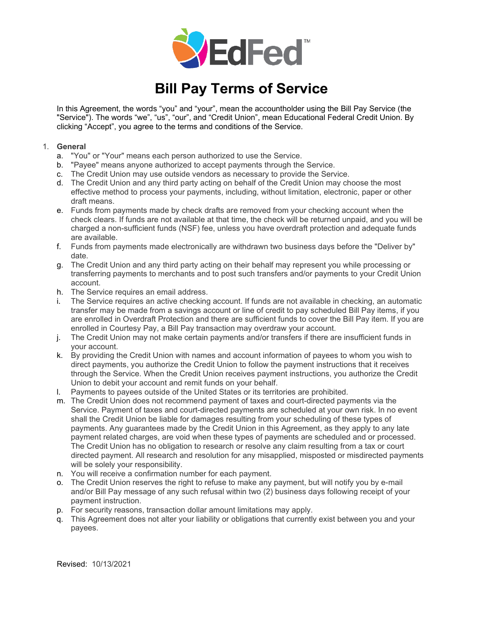

## **Bill Pay Terms of Service**

In this Agreement, the words "you" and "your", mean the accountholder using the Bill Pay Service (the "Service"). The words "we", "us", "our", and "Credit Union", mean Educational Federal Credit Union. By clicking "Accept", you agree to the terms and conditions of the Service.

## 1. **General**

- a. "You" or "Your" means each person authorized to use the Service.
- b. "Payee" means anyone authorized to accept payments through the Service.
- c. The Credit Union may use outside vendors as necessary to provide the Service.
- d. The Credit Union and any third party acting on behalf of the Credit Union may choose the most effective method to process your payments, including, without limitation, electronic, paper or other draft means.
- e. Funds from payments made by check drafts are removed from your checking account when the check clears. If funds are not available at that time, the check will be returned unpaid, and you will be charged a non-sufficient funds (NSF) fee, unless you have overdraft protection and adequate funds are available.
- f. Funds from payments made electronically are withdrawn two business days before the "Deliver by" date.
- g. The Credit Union and any third party acting on their behalf may represent you while processing or transferring payments to merchants and to post such transfers and/or payments to your Credit Union account.
- h. The Service requires an email address.
- i. The Service requires an active checking account. If funds are not available in checking, an automatic transfer may be made from a savings account or line of credit to pay scheduled Bill Pay items, if you are enrolled in Overdraft Protection and there are sufficient funds to cover the Bill Pay item. If you are enrolled in Courtesy Pay, a Bill Pay transaction may overdraw your account.
- j. The Credit Union may not make certain payments and/or transfers if there are insufficient funds in your account.
- k. By providing the Credit Union with names and account information of payees to whom you wish to direct payments, you authorize the Credit Union to follow the payment instructions that it receives through the Service. When the Credit Union receives payment instructions, you authorize the Credit Union to debit your account and remit funds on your behalf.
- l. Payments to payees outside of the United States or its territories are prohibited.
- m. The Credit Union does not recommend payment of taxes and court-directed payments via the Service. Payment of taxes and court-directed payments are scheduled at your own risk. In no event shall the Credit Union be liable for damages resulting from your scheduling of these types of payments. Any guarantees made by the Credit Union in this Agreement, as they apply to any late payment related charges, are void when these types of payments are scheduled and or processed. The Credit Union has no obligation to research or resolve any claim resulting from a tax or court directed payment. All research and resolution for any misapplied, misposted or misdirected payments will be solely your responsibility.
- n. You will receive a confirmation number for each payment.
- o. The Credit Union reserves the right to refuse to make any payment, but will notify you by e-mail and/or Bill Pay message of any such refusal within two (2) business days following receipt of your payment instruction.
- p. For security reasons, transaction dollar amount limitations may apply.
- q. This Agreement does not alter your liability or obligations that currently exist between you and your payees.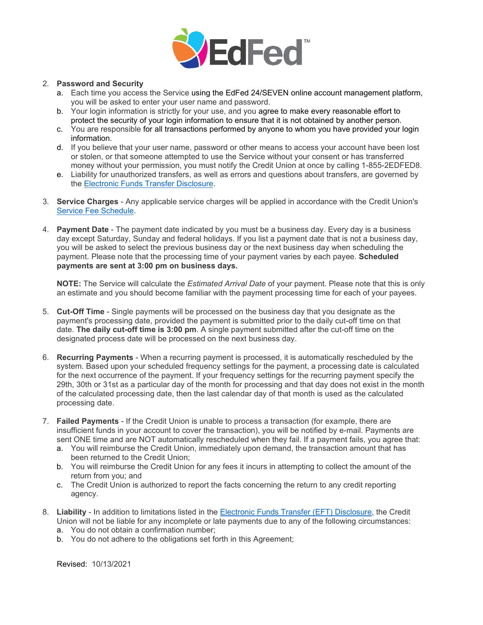

## 2. **Password and Security**

- a. Each time you access the Service using the EdFed 24/SEVEN online account management platform, you will be asked to enter your user name and password.
- b. Your login information is strictly for your use, and you agree to make every reasonable effort to protect the security of your login information to ensure that it is not obtained by another person.
- c. You are responsible for all transactions performed by anyone to whom you have provided your login information.
- d. If you believe that your user name, password or other means to access your account have been lost or stolen, or that someone attempted to use the Service without your consent or has transferred money without your permission, you must notify the Credit Union at once by calling 1-855-2EDFED8.
- e. Liability for unauthorized transfers, as well as errors and questions about transfers, are governed by the [Electronic Funds Transfer Disclosure.](https://www.edfed.org/eft)
- 3. **Service Charges** Any applicable service charges will be applied in accordance with the Credit Union's [Service Fee](https://www.edfed.org/servicefees) Schedule.
- 4. **Payment Date** The payment date indicated by you must be a business day. Every day is a business day except Saturday, Sunday and federal holidays. If you list a payment date that is not a business day, you will be asked to select the previous business day or the next business day when scheduling the payment. Please note that the processing time of your payment varies by each payee. **Scheduled payments are sent at 3:00 pm on business days.**

**NOTE:** The Service will calculate the *Estimated Arrival Date* of your payment. Please note that this is only an estimate and you should become familiar with the payment processing time for each of your payees.

- 5. **Cut-Off Time** Single payments will be processed on the business day that you designate as the payment's processing date, provided the payment is submitted prior to the daily cut-off time on that date. **The daily cut-off time is 3:00 pm**. A single payment submitted after the cut-off time on the designated process date will be processed on the next business day.
- 6. **Recurring Payments** When a recurring payment is processed, it is automatically rescheduled by the system. Based upon your scheduled frequency settings for the payment, a processing date is calculated for the next occurrence of the payment. If your frequency settings for the recurring payment specify the 29th, 30th or 31st as a particular day of the month for processing and that day does not exist in the month of the calculated processing date, then the last calendar day of that month is used as the calculated processing date.
- 7. **Failed Payments** If the Credit Union is unable to process a transaction (for example, there are insufficient funds in your account to cover the transaction), you will be notified by e-mail. Payments are sent ONE time and are NOT automatically rescheduled when they fail. If a payment fails, you agree that:
	- a. You will reimburse the Credit Union, immediately upon demand, the transaction amount that has been returned to the Credit Union;
	- b. You will reimburse the Credit Union for any fees it incurs in attempting to collect the amount of the return from you; and
	- c. The Credit Union is authorized to report the facts concerning the return to any credit reporting agency.
- 8. **Liability** In addition to limitations listed in the [Electronic Funds Transfer \(EFT\) Disclosure,](https://www.edfed.org/eft) the Credit Union will not be liable for any incomplete or late payments due to any of the following circumstances:
	- a. You do not obtain a confirmation number;
	- b. You do not adhere to the obligations set forth in this Agreement;

Revised: 10/13/2021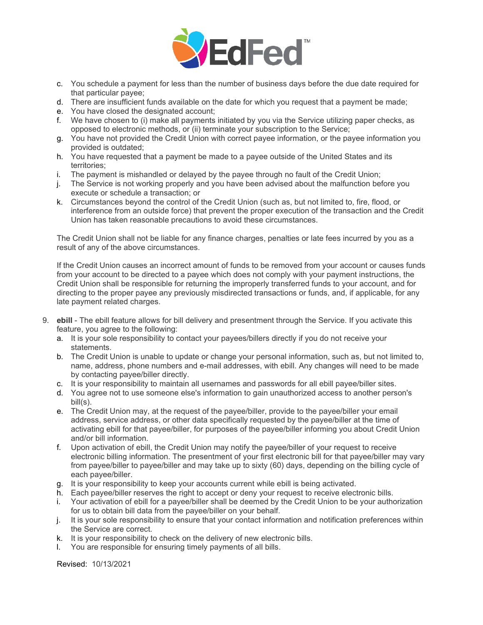

- c. You schedule a payment for less than the number of business days before the due date required for that particular payee;
- d. There are insufficient funds available on the date for which you request that a payment be made;
- e. You have closed the designated account;
- f. We have chosen to (i) make all payments initiated by you via the Service utilizing paper checks, as opposed to electronic methods, or (ii) terminate your subscription to the Service;
- g. You have not provided the Credit Union with correct payee information, or the payee information you provided is outdated;
- h. You have requested that a payment be made to a payee outside of the United States and its territories;
- i. The payment is mishandled or delayed by the payee through no fault of the Credit Union;
- j. The Service is not working properly and you have been advised about the malfunction before you execute or schedule a transaction; or
- k. Circumstances beyond the control of the Credit Union (such as, but not limited to, fire, flood, or interference from an outside force) that prevent the proper execution of the transaction and the Credit Union has taken reasonable precautions to avoid these circumstances.

The Credit Union shall not be liable for any finance charges, penalties or late fees incurred by you as a result of any of the above circumstances.

If the Credit Union causes an incorrect amount of funds to be removed from your account or causes funds from your account to be directed to a payee which does not comply with your payment instructions, the Credit Union shall be responsible for returning the improperly transferred funds to your account, and for directing to the proper payee any previously misdirected transactions or funds, and, if applicable, for any late payment related charges.

- 9. **ebill** The ebill feature allows for bill delivery and presentment through the Service. If you activate this feature, you agree to the following:
	- a. It is your sole responsibility to contact your payees/billers directly if you do not receive your statements.
	- b. The Credit Union is unable to update or change your personal information, such as, but not limited to, name, address, phone numbers and e-mail addresses, with ebill. Any changes will need to be made by contacting payee/biller directly.
	- c. It is your responsibility to maintain all usernames and passwords for all ebill payee/biller sites.
	- d. You agree not to use someone else's information to gain unauthorized access to another person's bill(s).
	- e. The Credit Union may, at the request of the payee/biller, provide to the payee/biller your email address, service address, or other data specifically requested by the payee/biller at the time of activating ebill for that payee/biller, for purposes of the payee/biller informing you about Credit Union and/or bill information.
	- f. Upon activation of ebill, the Credit Union may notify the payee/biller of your request to receive electronic billing information. The presentment of your first electronic bill for that payee/biller may vary from payee/biller to payee/biller and may take up to sixty (60) days, depending on the billing cycle of each payee/biller.
	- g. It is your responsibility to keep your accounts current while ebill is being activated.
	- h. Each payee/biller reserves the right to accept or deny your request to receive electronic bills.
	- i. Your activation of ebill for a payee/biller shall be deemed by the Credit Union to be your authorization for us to obtain bill data from the payee/biller on your behalf.
	- j. It is your sole responsibility to ensure that your contact information and notification preferences within the Service are correct.
	- k. It is your responsibility to check on the delivery of new electronic bills.
	- l. You are responsible for ensuring timely payments of all bills.

Revised: 10/13/2021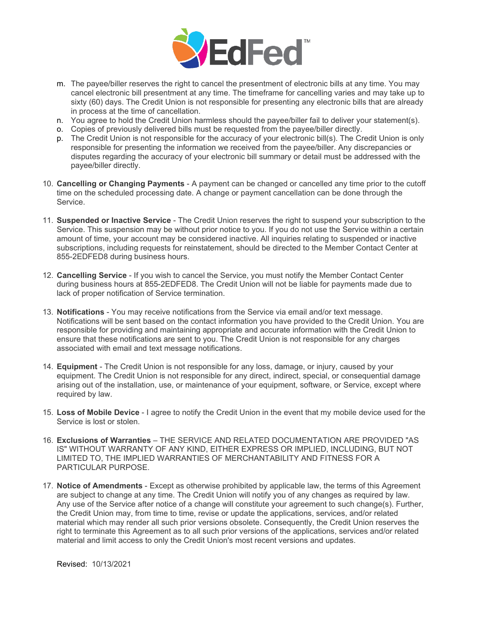

- m. The payee/biller reserves the right to cancel the presentment of electronic bills at any time. You may cancel electronic bill presentment at any time. The timeframe for cancelling varies and may take up to sixty (60) days. The Credit Union is not responsible for presenting any electronic bills that are already in process at the time of cancellation.
- n. You agree to hold the Credit Union harmless should the payee/biller fail to deliver your statement(s).
- o. Copies of previously delivered bills must be requested from the payee/biller directly.
- p. The Credit Union is not responsible for the accuracy of your electronic bill(s). The Credit Union is only responsible for presenting the information we received from the payee/biller. Any discrepancies or disputes regarding the accuracy of your electronic bill summary or detail must be addressed with the payee/biller directly.
- 10. **Cancelling or Changing Payments** A payment can be changed or cancelled any time prior to the cutoff time on the scheduled processing date. A change or payment cancellation can be done through the Service.
- 11. **Suspended or Inactive Service** The Credit Union reserves the right to suspend your subscription to the Service. This suspension may be without prior notice to you. If you do not use the Service within a certain amount of time, your account may be considered inactive. All inquiries relating to suspended or inactive subscriptions, including requests for reinstatement, should be directed to the Member Contact Center at 855-2EDFED8 during business hours.
- 12. **Cancelling Service** If you wish to cancel the Service, you must notify the Member Contact Center during business hours at 855-2EDFED8. The Credit Union will not be liable for payments made due to lack of proper notification of Service termination.
- 13. **Notifications** You may receive notifications from the Service via email and/or text message. Notifications will be sent based on the contact information you have provided to the Credit Union. You are responsible for providing and maintaining appropriate and accurate information with the Credit Union to ensure that these notifications are sent to you. The Credit Union is not responsible for any charges associated with email and text message notifications.
- 14. **Equipment** The Credit Union is not responsible for any loss, damage, or injury, caused by your equipment. The Credit Union is not responsible for any direct, indirect, special, or consequential damage arising out of the installation, use, or maintenance of your equipment, software, or Service, except where required by law.
- 15. **Loss of Mobile Device** I agree to notify the Credit Union in the event that my mobile device used for the Service is lost or stolen.
- 16. **Exclusions of Warranties** THE SERVICE AND RELATED DOCUMENTATION ARE PROVIDED "AS IS" WITHOUT WARRANTY OF ANY KIND, EITHER EXPRESS OR IMPLIED, INCLUDING, BUT NOT LIMITED TO, THE IMPLIED WARRANTIES OF MERCHANTABILITY AND FITNESS FOR A PARTICULAR PURPOSE.
- 17. **Notice of Amendments** Except as otherwise prohibited by applicable law, the terms of this Agreement are subject to change at any time. The Credit Union will notify you of any changes as required by law. Any use of the Service after notice of a change will constitute your agreement to such change(s). Further, the Credit Union may, from time to time, revise or update the applications, services, and/or related material which may render all such prior versions obsolete. Consequently, the Credit Union reserves the right to terminate this Agreement as to all such prior versions of the applications, services and/or related material and limit access to only the Credit Union's most recent versions and updates.

Revised: 10/13/2021